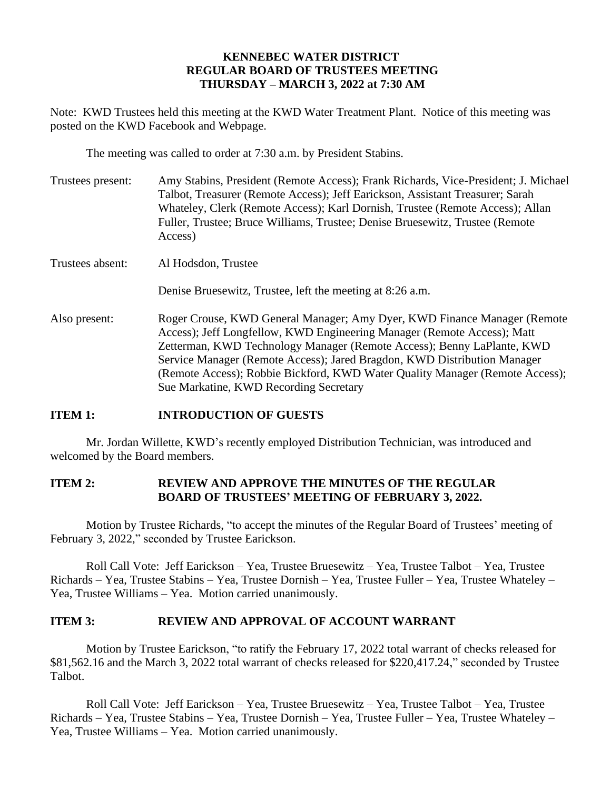### **KENNEBEC WATER DISTRICT REGULAR BOARD OF TRUSTEES MEETING THURSDAY – MARCH 3, 2022 at 7:30 AM**

Note: KWD Trustees held this meeting at the KWD Water Treatment Plant. Notice of this meeting was posted on the KWD Facebook and Webpage.

The meeting was called to order at 7:30 a.m. by President Stabins.

| Trustees present: | Amy Stabins, President (Remote Access); Frank Richards, Vice-President; J. Michael<br>Talbot, Treasurer (Remote Access); Jeff Earickson, Assistant Treasurer; Sarah<br>Whateley, Clerk (Remote Access); Karl Dornish, Trustee (Remote Access); Allan<br>Fuller, Trustee; Bruce Williams, Trustee; Denise Bruesewitz, Trustee (Remote)<br>Access)                                                                                    |
|-------------------|-------------------------------------------------------------------------------------------------------------------------------------------------------------------------------------------------------------------------------------------------------------------------------------------------------------------------------------------------------------------------------------------------------------------------------------|
| Trustees absent:  | Al Hodsdon, Trustee                                                                                                                                                                                                                                                                                                                                                                                                                 |
|                   | Denise Bruesewitz, Trustee, left the meeting at 8:26 a.m.                                                                                                                                                                                                                                                                                                                                                                           |
| Also present:     | Roger Crouse, KWD General Manager; Amy Dyer, KWD Finance Manager (Remote<br>Access); Jeff Longfellow, KWD Engineering Manager (Remote Access); Matt<br>Zetterman, KWD Technology Manager (Remote Access); Benny LaPlante, KWD<br>Service Manager (Remote Access); Jared Bragdon, KWD Distribution Manager<br>(Remote Access); Robbie Bickford, KWD Water Quality Manager (Remote Access);<br>Sue Markatine, KWD Recording Secretary |

# **ITEM 1: INTRODUCTION OF GUESTS**

Mr. Jordan Willette, KWD's recently employed Distribution Technician, was introduced and welcomed by the Board members.

#### **ITEM 2: REVIEW AND APPROVE THE MINUTES OF THE REGULAR BOARD OF TRUSTEES' MEETING OF FEBRUARY 3, 2022.**

Motion by Trustee Richards, "to accept the minutes of the Regular Board of Trustees' meeting of February 3, 2022," seconded by Trustee Earickson.

Roll Call Vote: Jeff Earickson – Yea, Trustee Bruesewitz – Yea, Trustee Talbot – Yea, Trustee Richards – Yea, Trustee Stabins – Yea, Trustee Dornish – Yea, Trustee Fuller – Yea, Trustee Whateley – Yea, Trustee Williams – Yea. Motion carried unanimously.

# **ITEM 3: REVIEW AND APPROVAL OF ACCOUNT WARRANT**

Motion by Trustee Earickson, "to ratify the February 17, 2022 total warrant of checks released for \$81,562.16 and the March 3, 2022 total warrant of checks released for \$220,417.24," seconded by Trustee Talbot.

Roll Call Vote: Jeff Earickson – Yea, Trustee Bruesewitz – Yea, Trustee Talbot – Yea, Trustee Richards – Yea, Trustee Stabins – Yea, Trustee Dornish – Yea, Trustee Fuller – Yea, Trustee Whateley – Yea, Trustee Williams – Yea. Motion carried unanimously.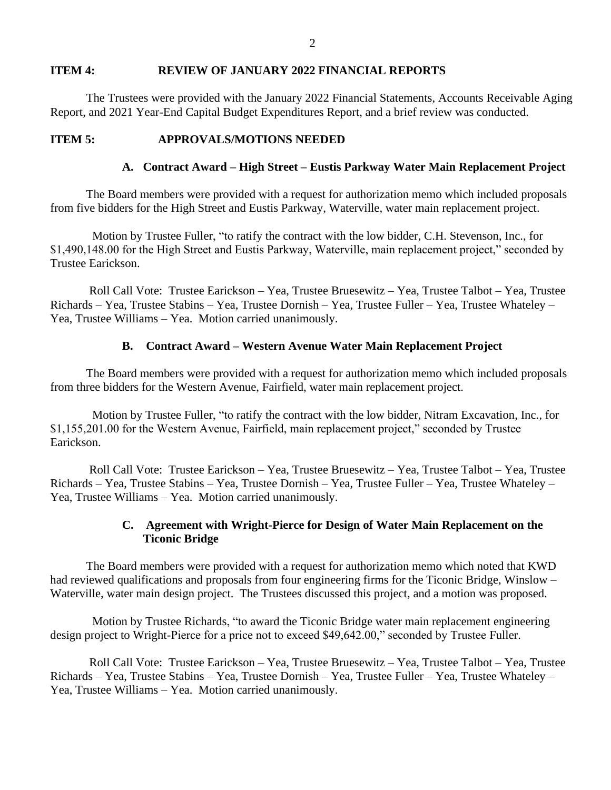#### **ITEM 4: REVIEW OF JANUARY 2022 FINANCIAL REPORTS**

The Trustees were provided with the January 2022 Financial Statements, Accounts Receivable Aging Report, and 2021 Year-End Capital Budget Expenditures Report, and a brief review was conducted.

#### **ITEM 5: APPROVALS/MOTIONS NEEDED**

### **A. Contract Award – High Street – Eustis Parkway Water Main Replacement Project**

The Board members were provided with a request for authorization memo which included proposals from five bidders for the High Street and Eustis Parkway, Waterville, water main replacement project.

 Motion by Trustee Fuller, "to ratify the contract with the low bidder, C.H. Stevenson, Inc., for \$1,490,148.00 for the High Street and Eustis Parkway, Waterville, main replacement project," seconded by Trustee Earickson.

Roll Call Vote: Trustee Earickson – Yea, Trustee Bruesewitz – Yea, Trustee Talbot – Yea, Trustee Richards – Yea, Trustee Stabins – Yea, Trustee Dornish – Yea, Trustee Fuller – Yea, Trustee Whateley – Yea, Trustee Williams – Yea. Motion carried unanimously.

## **B. Contract Award – Western Avenue Water Main Replacement Project**

The Board members were provided with a request for authorization memo which included proposals from three bidders for the Western Avenue, Fairfield, water main replacement project.

 Motion by Trustee Fuller, "to ratify the contract with the low bidder, Nitram Excavation, Inc., for \$1,155,201.00 for the Western Avenue, Fairfield, main replacement project," seconded by Trustee Earickson.

Roll Call Vote: Trustee Earickson – Yea, Trustee Bruesewitz – Yea, Trustee Talbot – Yea, Trustee Richards – Yea, Trustee Stabins – Yea, Trustee Dornish – Yea, Trustee Fuller – Yea, Trustee Whateley – Yea, Trustee Williams – Yea. Motion carried unanimously.

## **C. Agreement with Wright-Pierce for Design of Water Main Replacement on the Ticonic Bridge**

The Board members were provided with a request for authorization memo which noted that KWD had reviewed qualifications and proposals from four engineering firms for the Ticonic Bridge, Winslow – Waterville, water main design project. The Trustees discussed this project, and a motion was proposed.

 Motion by Trustee Richards, "to award the Ticonic Bridge water main replacement engineering design project to Wright-Pierce for a price not to exceed \$49,642.00," seconded by Trustee Fuller.

Roll Call Vote: Trustee Earickson – Yea, Trustee Bruesewitz – Yea, Trustee Talbot – Yea, Trustee Richards – Yea, Trustee Stabins – Yea, Trustee Dornish – Yea, Trustee Fuller – Yea, Trustee Whateley – Yea, Trustee Williams – Yea. Motion carried unanimously.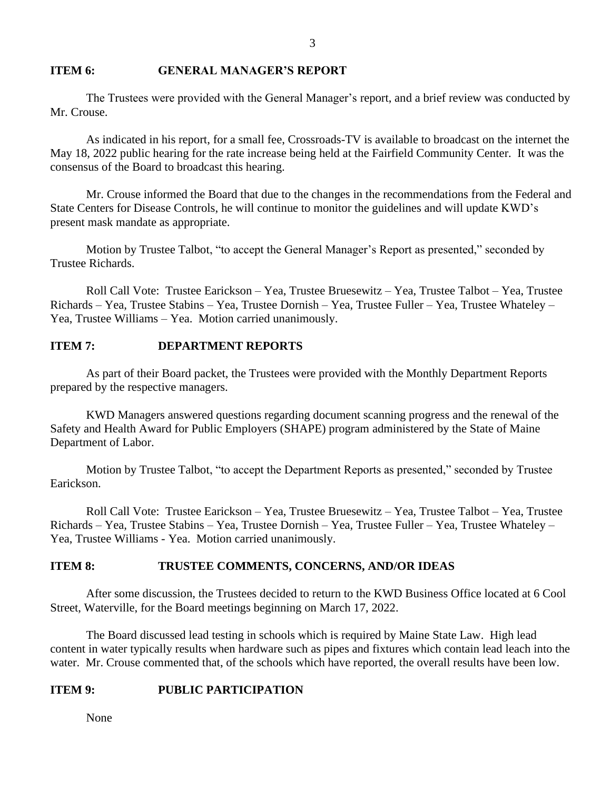#### **ITEM 6: GENERAL MANAGER'S REPORT**

The Trustees were provided with the General Manager's report, and a brief review was conducted by Mr. Crouse.

As indicated in his report, for a small fee, Crossroads-TV is available to broadcast on the internet the May 18, 2022 public hearing for the rate increase being held at the Fairfield Community Center. It was the consensus of the Board to broadcast this hearing.

Mr. Crouse informed the Board that due to the changes in the recommendations from the Federal and State Centers for Disease Controls, he will continue to monitor the guidelines and will update KWD's present mask mandate as appropriate.

Motion by Trustee Talbot, "to accept the General Manager's Report as presented," seconded by Trustee Richards.

Roll Call Vote: Trustee Earickson – Yea, Trustee Bruesewitz – Yea, Trustee Talbot – Yea, Trustee Richards – Yea, Trustee Stabins – Yea, Trustee Dornish – Yea, Trustee Fuller – Yea, Trustee Whateley – Yea, Trustee Williams – Yea. Motion carried unanimously.

#### **ITEM 7: DEPARTMENT REPORTS**

As part of their Board packet, the Trustees were provided with the Monthly Department Reports prepared by the respective managers.

KWD Managers answered questions regarding document scanning progress and the renewal of the Safety and Health Award for Public Employers (SHAPE) program administered by the State of Maine Department of Labor.

Motion by Trustee Talbot, "to accept the Department Reports as presented," seconded by Trustee Earickson.

Roll Call Vote: Trustee Earickson – Yea, Trustee Bruesewitz – Yea, Trustee Talbot – Yea, Trustee Richards – Yea, Trustee Stabins – Yea, Trustee Dornish – Yea, Trustee Fuller – Yea, Trustee Whateley – Yea, Trustee Williams - Yea. Motion carried unanimously.

## **ITEM 8: TRUSTEE COMMENTS, CONCERNS, AND/OR IDEAS**

After some discussion, the Trustees decided to return to the KWD Business Office located at 6 Cool Street, Waterville, for the Board meetings beginning on March 17, 2022.

The Board discussed lead testing in schools which is required by Maine State Law. High lead content in water typically results when hardware such as pipes and fixtures which contain lead leach into the water. Mr. Crouse commented that, of the schools which have reported, the overall results have been low.

#### **ITEM 9: PUBLIC PARTICIPATION**

None